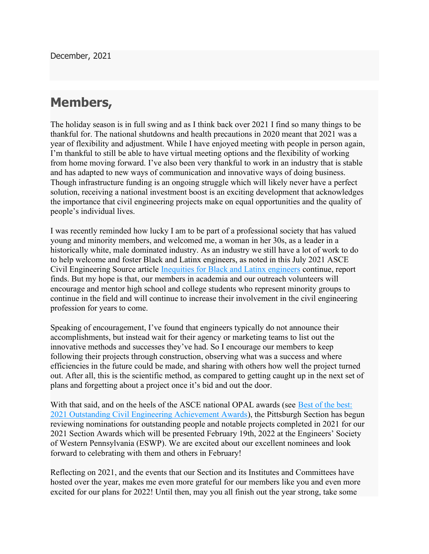## Members,

The holiday season is in full swing and as I think back over 2021 I find so many things to be thankful for. The national shutdowns and health precautions in 2020 meant that 2021 was a year of flexibility and adjustment. While I have enjoyed meeting with people in person again, I'm thankful to still be able to have virtual meeting options and the flexibility of working from home moving forward. I've also been very thankful to work in an industry that is stable and has adapted to new ways of communication and innovative ways of doing business. Though infrastructure funding is an ongoing struggle which will likely never have a perfect solution, receiving a national investment boost is an exciting development that acknowledges the importance that civil engineering projects make on equal opportunities and the quality of people's individual lives.

I was recently reminded how lucky I am to be part of a professional society that has valued young and minority members, and welcomed me, a woman in her 30s, as a leader in a historically white, male dominated industry. As an industry we still have a lot of work to do to help welcome and foster Black and Latinx engineers, as noted in this July 2021 ASCE Civil Engineering Source article Inequities for Black and Latinx engineers continue, report finds. But my hope is that, our members in academia and our outreach volunteers will encourage and mentor high school and college students who represent minority groups to continue in the field and will continue to increase their involvement in the civil engineering profession for years to come.

Speaking of encouragement, I've found that engineers typically do not announce their accomplishments, but instead wait for their agency or marketing teams to list out the innovative methods and successes they've had. So I encourage our members to keep following their projects through construction, observing what was a success and where efficiencies in the future could be made, and sharing with others how well the project turned out. After all, this is the scientific method, as compared to getting caught up in the next set of plans and forgetting about a project once it's bid and out the door.

With that said, and on the heels of the ASCE national OPAL awards (see Best of the best: 2021 Outstanding Civil Engineering Achievement Awards), the Pittsburgh Section has begun reviewing nominations for outstanding people and notable projects completed in 2021 for our 2021 Section Awards which will be presented February 19th, 2022 at the Engineers' Society of Western Pennsylvania (ESWP). We are excited about our excellent nominees and look forward to celebrating with them and others in February!

Reflecting on 2021, and the events that our Section and its Institutes and Committees have hosted over the year, makes me even more grateful for our members like you and even more excited for our plans for 2022! Until then, may you all finish out the year strong, take some